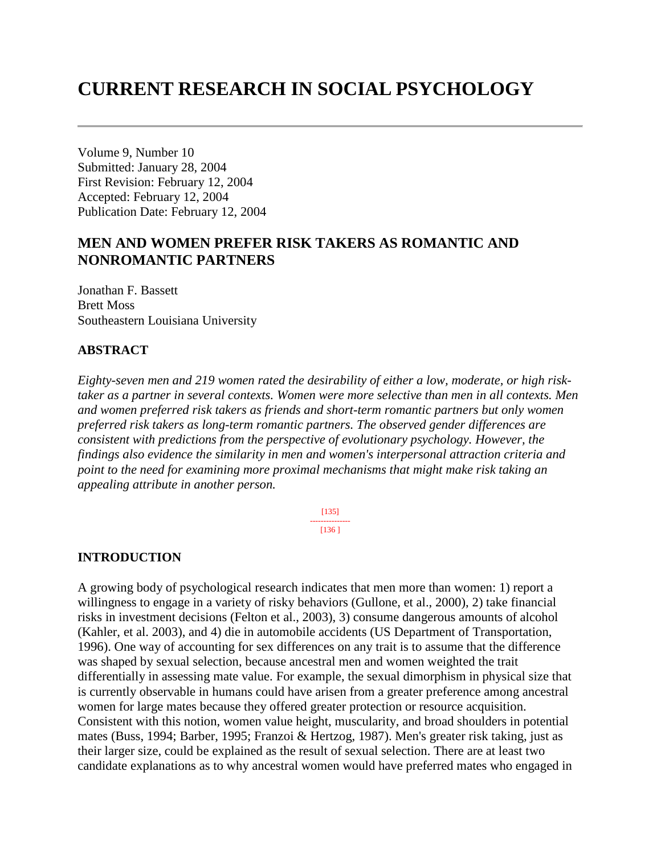# **CURRENT RESEARCH IN SOCIAL PSYCHOLOGY**

Volume 9, Number 10 Submitted: January 28, 2004 First Revision: February 12, 2004 Accepted: February 12, 2004 Publication Date: February 12, 2004

# **MEN AND WOMEN PREFER RISK TAKERS AS ROMANTIC AND NONROMANTIC PARTNERS**

Jonathan F. Bassett Brett Moss Southeastern Louisiana University

#### **ABSTRACT**

*Eighty-seven men and 219 women rated the desirability of either a low, moderate, or high risktaker as a partner in several contexts. Women were more selective than men in all contexts. Men and women preferred risk takers as friends and short-term romantic partners but only women preferred risk takers as long-term romantic partners. The observed gender differences are consistent with predictions from the perspective of evolutionary psychology. However, the findings also evidence the similarity in men and women's interpersonal attraction criteria and point to the need for examining more proximal mechanisms that might make risk taking an appealing attribute in another person.*

> [135] --------------- [136 ]

#### **INTRODUCTION**

A growing body of psychological research indicates that men more than women: 1) report a willingness to engage in a variety of risky behaviors (Gullone, et al., 2000), 2) take financial risks in investment decisions (Felton et al., 2003), 3) consume dangerous amounts of alcohol (Kahler, et al. 2003), and 4) die in automobile accidents (US Department of Transportation, 1996). One way of accounting for sex differences on any trait is to assume that the difference was shaped by sexual selection, because ancestral men and women weighted the trait differentially in assessing mate value. For example, the sexual dimorphism in physical size that is currently observable in humans could have arisen from a greater preference among ancestral women for large mates because they offered greater protection or resource acquisition. Consistent with this notion, women value height, muscularity, and broad shoulders in potential mates (Buss, 1994; Barber, 1995; Franzoi & Hertzog, 1987). Men's greater risk taking, just as their larger size, could be explained as the result of sexual selection. There are at least two candidate explanations as to why ancestral women would have preferred mates who engaged in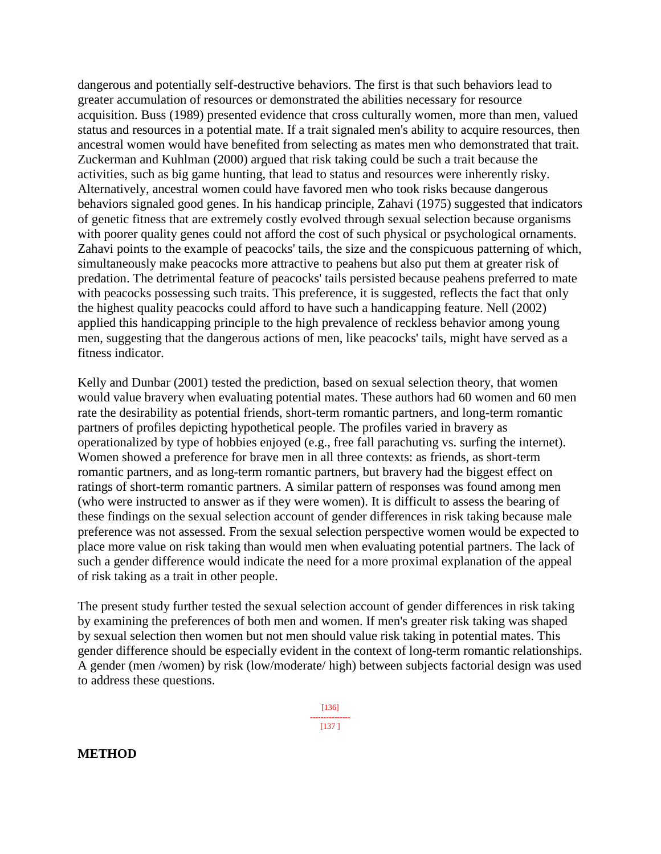dangerous and potentially self-destructive behaviors. The first is that such behaviors lead to greater accumulation of resources or demonstrated the abilities necessary for resource acquisition. Buss (1989) presented evidence that cross culturally women, more than men, valued status and resources in a potential mate. If a trait signaled men's ability to acquire resources, then ancestral women would have benefited from selecting as mates men who demonstrated that trait. Zuckerman and Kuhlman (2000) argued that risk taking could be such a trait because the activities, such as big game hunting, that lead to status and resources were inherently risky. Alternatively, ancestral women could have favored men who took risks because dangerous behaviors signaled good genes. In his handicap principle, Zahavi (1975) suggested that indicators of genetic fitness that are extremely costly evolved through sexual selection because organisms with poorer quality genes could not afford the cost of such physical or psychological ornaments. Zahavi points to the example of peacocks' tails, the size and the conspicuous patterning of which, simultaneously make peacocks more attractive to peahens but also put them at greater risk of predation. The detrimental feature of peacocks' tails persisted because peahens preferred to mate with peacocks possessing such traits. This preference, it is suggested, reflects the fact that only the highest quality peacocks could afford to have such a handicapping feature. Nell (2002) applied this handicapping principle to the high prevalence of reckless behavior among young men, suggesting that the dangerous actions of men, like peacocks' tails, might have served as a fitness indicator.

Kelly and Dunbar (2001) tested the prediction, based on sexual selection theory, that women would value bravery when evaluating potential mates. These authors had 60 women and 60 men rate the desirability as potential friends, short-term romantic partners, and long-term romantic partners of profiles depicting hypothetical people. The profiles varied in bravery as operationalized by type of hobbies enjoyed (e.g., free fall parachuting vs. surfing the internet). Women showed a preference for brave men in all three contexts: as friends, as short-term romantic partners, and as long-term romantic partners, but bravery had the biggest effect on ratings of short-term romantic partners. A similar pattern of responses was found among men (who were instructed to answer as if they were women). It is difficult to assess the bearing of these findings on the sexual selection account of gender differences in risk taking because male preference was not assessed. From the sexual selection perspective women would be expected to place more value on risk taking than would men when evaluating potential partners. The lack of such a gender difference would indicate the need for a more proximal explanation of the appeal of risk taking as a trait in other people.

The present study further tested the sexual selection account of gender differences in risk taking by examining the preferences of both men and women. If men's greater risk taking was shaped by sexual selection then women but not men should value risk taking in potential mates. This gender difference should be especially evident in the context of long-term romantic relationships. A gender (men /women) by risk (low/moderate/ high) between subjects factorial design was used to address these questions.

> [136] --------------- [137 ]

**METHOD**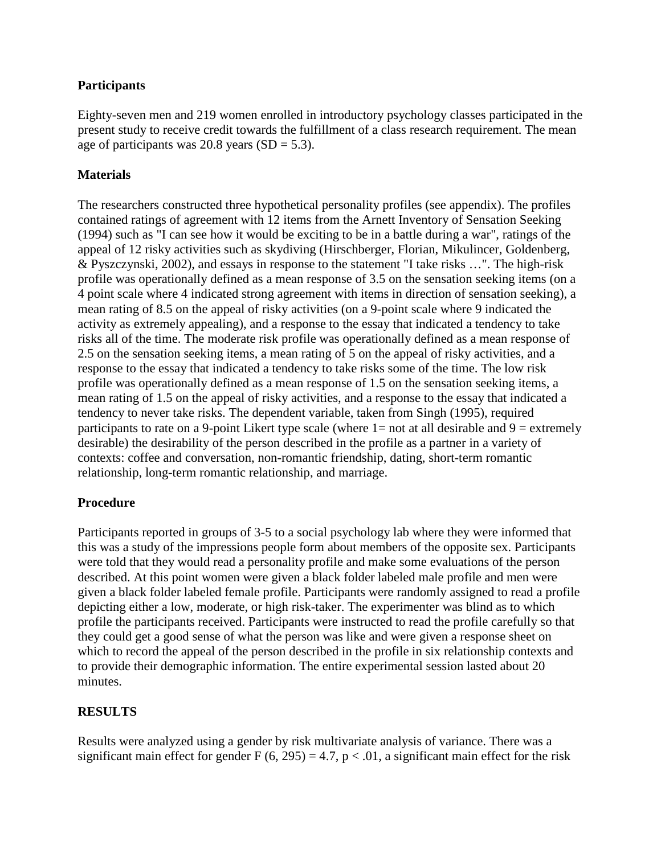# **Participants**

Eighty-seven men and 219 women enrolled in introductory psychology classes participated in the present study to receive credit towards the fulfillment of a class research requirement. The mean age of participants was 20.8 years  $(SD = 5.3)$ .

### **Materials**

The researchers constructed three hypothetical personality profiles (see appendix). The profiles contained ratings of agreement with 12 items from the Arnett Inventory of Sensation Seeking (1994) such as "I can see how it would be exciting to be in a battle during a war", ratings of the appeal of 12 risky activities such as skydiving (Hirschberger, Florian, Mikulincer, Goldenberg, & Pyszczynski, 2002), and essays in response to the statement "I take risks …". The high-risk profile was operationally defined as a mean response of 3.5 on the sensation seeking items (on a 4 point scale where 4 indicated strong agreement with items in direction of sensation seeking), a mean rating of 8.5 on the appeal of risky activities (on a 9-point scale where 9 indicated the activity as extremely appealing), and a response to the essay that indicated a tendency to take risks all of the time. The moderate risk profile was operationally defined as a mean response of 2.5 on the sensation seeking items, a mean rating of 5 on the appeal of risky activities, and a response to the essay that indicated a tendency to take risks some of the time. The low risk profile was operationally defined as a mean response of 1.5 on the sensation seeking items, a mean rating of 1.5 on the appeal of risky activities, and a response to the essay that indicated a tendency to never take risks. The dependent variable, taken from Singh (1995), required participants to rate on a 9-point Likert type scale (where  $1=$  not at all desirable and  $9 =$  extremely desirable) the desirability of the person described in the profile as a partner in a variety of contexts: coffee and conversation, non-romantic friendship, dating, short-term romantic relationship, long-term romantic relationship, and marriage.

#### **Procedure**

Participants reported in groups of 3-5 to a social psychology lab where they were informed that this was a study of the impressions people form about members of the opposite sex. Participants were told that they would read a personality profile and make some evaluations of the person described. At this point women were given a black folder labeled male profile and men were given a black folder labeled female profile. Participants were randomly assigned to read a profile depicting either a low, moderate, or high risk-taker. The experimenter was blind as to which profile the participants received. Participants were instructed to read the profile carefully so that they could get a good sense of what the person was like and were given a response sheet on which to record the appeal of the person described in the profile in six relationship contexts and to provide their demographic information. The entire experimental session lasted about 20 minutes.

# **RESULTS**

Results were analyzed using a gender by risk multivariate analysis of variance. There was a significant main effect for gender F  $(6, 295) = 4.7$ ,  $p < .01$ , a significant main effect for the risk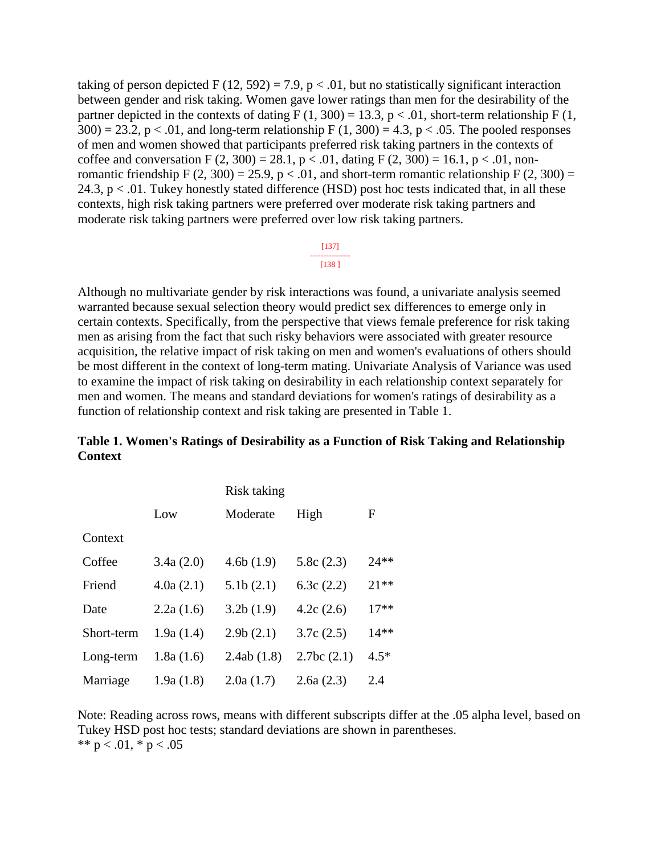taking of person depicted F (12, 592) = 7.9, p < .01, but no statistically significant interaction between gender and risk taking. Women gave lower ratings than men for the desirability of the partner depicted in the contexts of dating  $F(1, 300) = 13.3$ , p < .01, short-term relationship  $F(1, 1)$  $300$ ) = 23.2, p < .01, and long-term relationship F (1, 300) = 4.3, p < .05. The pooled responses of men and women showed that participants preferred risk taking partners in the contexts of coffee and conversation F  $(2, 300) = 28.1$ , p < .01, dating F  $(2, 300) = 16.1$ , p < .01, nonromantic friendship F (2, 300) = 25.9, p < .01, and short-term romantic relationship F (2, 300) = 24.3,  $p < .01$ . Tukey honestly stated difference (HSD) post hoc tests indicated that, in all these contexts, high risk taking partners were preferred over moderate risk taking partners and moderate risk taking partners were preferred over low risk taking partners.

#### [137] --------------- [138 ]

Although no multivariate gender by risk interactions was found, a univariate analysis seemed warranted because sexual selection theory would predict sex differences to emerge only in certain contexts. Specifically, from the perspective that views female preference for risk taking men as arising from the fact that such risky behaviors were associated with greater resource acquisition, the relative impact of risk taking on men and women's evaluations of others should be most different in the context of long-term mating. Univariate Analysis of Variance was used to examine the impact of risk taking on desirability in each relationship context separately for men and women. The means and standard deviations for women's ratings of desirability as a function of relationship context and risk taking are presented in Table 1.

#### **Table 1. Women's Ratings of Desirability as a Function of Risk Taking and Relationship Context**

|            | Risk taking |            |              |        |  |
|------------|-------------|------------|--------------|--------|--|
|            | Low         | Moderate   | High         | F      |  |
| Context    |             |            |              |        |  |
| Coffee     | 3.4a(2.0)   | 4.6b(1.9)  | 5.8c(2.3)    | $24**$ |  |
| Friend     | 4.0a(2.1)   | 5.1b(2.1)  | 6.3c $(2.2)$ | $21**$ |  |
| Date       | 2.2a(1.6)   | 3.2b(1.9)  | 4.2c(2.6)    | $17**$ |  |
| Short-term | 1.9a(1.4)   | 2.9b(2.1)  | 3.7c(2.5)    | $14**$ |  |
| Long-term  | 1.8a(1.6)   | 2.4ab(1.8) | 2.7bc(2.1)   | $4.5*$ |  |
| Marriage   | 1.9a(1.8)   | 2.0a(1.7)  | 2.6a(2.3)    | 2.4    |  |

Note: Reading across rows, means with different subscripts differ at the .05 alpha level, based on Tukey HSD post hoc tests; standard deviations are shown in parentheses. \*\*  $p < .01$ , \*  $p < .05$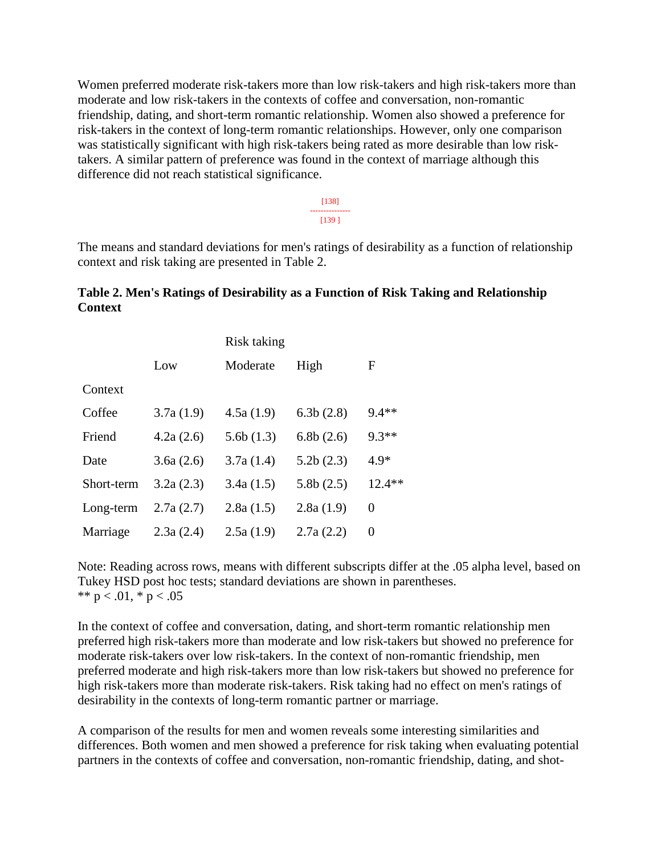Women preferred moderate risk-takers more than low risk-takers and high risk-takers more than moderate and low risk-takers in the contexts of coffee and conversation, non-romantic friendship, dating, and short-term romantic relationship. Women also showed a preference for risk-takers in the context of long-term romantic relationships. However, only one comparison was statistically significant with high risk-takers being rated as more desirable than low risktakers. A similar pattern of preference was found in the context of marriage although this difference did not reach statistical significance.

> [138] --------------- [139 ]

The means and standard deviations for men's ratings of desirability as a function of relationship context and risk taking are presented in Table 2.

#### **Table 2. Men's Ratings of Desirability as a Function of Risk Taking and Relationship Context**

|            |           | Risk taking |           |          |  |
|------------|-----------|-------------|-----------|----------|--|
|            | Low       | Moderate    | High      | F        |  |
| Context    |           |             |           |          |  |
| Coffee     | 3.7a(1.9) | 4.5a(1.9)   | 6.3b(2.8) | $9.4**$  |  |
| Friend     | 4.2a(2.6) | 5.6b(1.3)   | 6.8b(2.6) | $9.3**$  |  |
| Date       | 3.6a(2.6) | 3.7a(1.4)   | 5.2b(2.3) | $4.9*$   |  |
| Short-term | 3.2a(2.3) | 3.4a(1.5)   | 5.8b(2.5) | $12.4**$ |  |
| Long-term  | 2.7a(2.7) | 2.8a(1.5)   | 2.8a(1.9) | 0        |  |
| Marriage   | 2.3a(2.4) | 2.5a(1.9)   | 2.7a(2.2) | 0        |  |

Note: Reading across rows, means with different subscripts differ at the .05 alpha level, based on Tukey HSD post hoc tests; standard deviations are shown in parentheses. \*\*  $p < .01$ , \*  $p < .05$ 

In the context of coffee and conversation, dating, and short-term romantic relationship men preferred high risk-takers more than moderate and low risk-takers but showed no preference for moderate risk-takers over low risk-takers. In the context of non-romantic friendship, men preferred moderate and high risk-takers more than low risk-takers but showed no preference for high risk-takers more than moderate risk-takers. Risk taking had no effect on men's ratings of desirability in the contexts of long-term romantic partner or marriage.

A comparison of the results for men and women reveals some interesting similarities and differences. Both women and men showed a preference for risk taking when evaluating potential partners in the contexts of coffee and conversation, non-romantic friendship, dating, and shot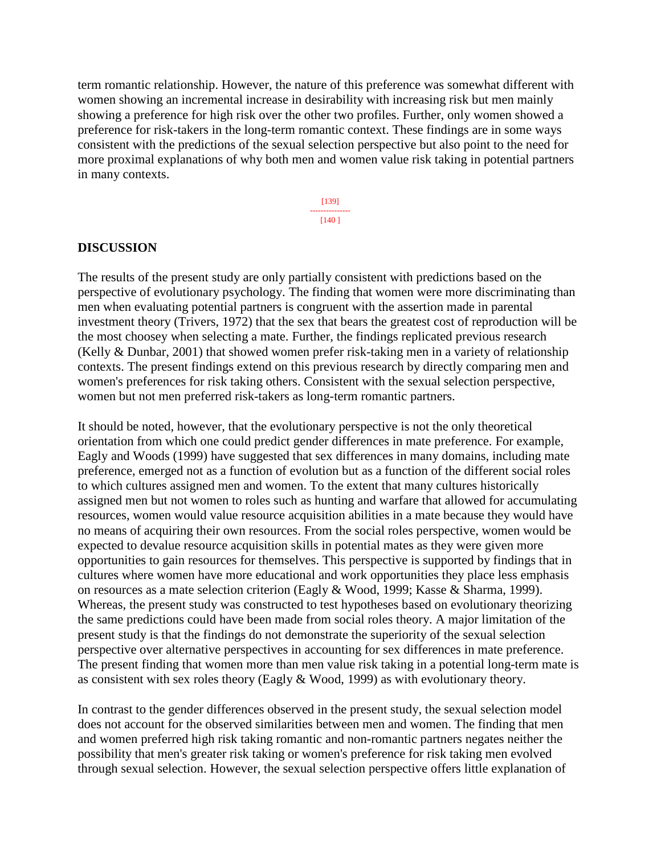term romantic relationship. However, the nature of this preference was somewhat different with women showing an incremental increase in desirability with increasing risk but men mainly showing a preference for high risk over the other two profiles. Further, only women showed a preference for risk-takers in the long-term romantic context. These findings are in some ways consistent with the predictions of the sexual selection perspective but also point to the need for more proximal explanations of why both men and women value risk taking in potential partners in many contexts.

> [139] --------------- [140 ]

#### **DISCUSSION**

The results of the present study are only partially consistent with predictions based on the perspective of evolutionary psychology. The finding that women were more discriminating than men when evaluating potential partners is congruent with the assertion made in parental investment theory (Trivers, 1972) that the sex that bears the greatest cost of reproduction will be the most choosey when selecting a mate. Further, the findings replicated previous research (Kelly & Dunbar, 2001) that showed women prefer risk-taking men in a variety of relationship contexts. The present findings extend on this previous research by directly comparing men and women's preferences for risk taking others. Consistent with the sexual selection perspective, women but not men preferred risk-takers as long-term romantic partners.

It should be noted, however, that the evolutionary perspective is not the only theoretical orientation from which one could predict gender differences in mate preference. For example, Eagly and Woods (1999) have suggested that sex differences in many domains, including mate preference, emerged not as a function of evolution but as a function of the different social roles to which cultures assigned men and women. To the extent that many cultures historically assigned men but not women to roles such as hunting and warfare that allowed for accumulating resources, women would value resource acquisition abilities in a mate because they would have no means of acquiring their own resources. From the social roles perspective, women would be expected to devalue resource acquisition skills in potential mates as they were given more opportunities to gain resources for themselves. This perspective is supported by findings that in cultures where women have more educational and work opportunities they place less emphasis on resources as a mate selection criterion (Eagly & Wood, 1999; Kasse & Sharma, 1999). Whereas, the present study was constructed to test hypotheses based on evolutionary theorizing the same predictions could have been made from social roles theory. A major limitation of the present study is that the findings do not demonstrate the superiority of the sexual selection perspective over alternative perspectives in accounting for sex differences in mate preference. The present finding that women more than men value risk taking in a potential long-term mate is as consistent with sex roles theory (Eagly & Wood, 1999) as with evolutionary theory.

In contrast to the gender differences observed in the present study, the sexual selection model does not account for the observed similarities between men and women. The finding that men and women preferred high risk taking romantic and non-romantic partners negates neither the possibility that men's greater risk taking or women's preference for risk taking men evolved through sexual selection. However, the sexual selection perspective offers little explanation of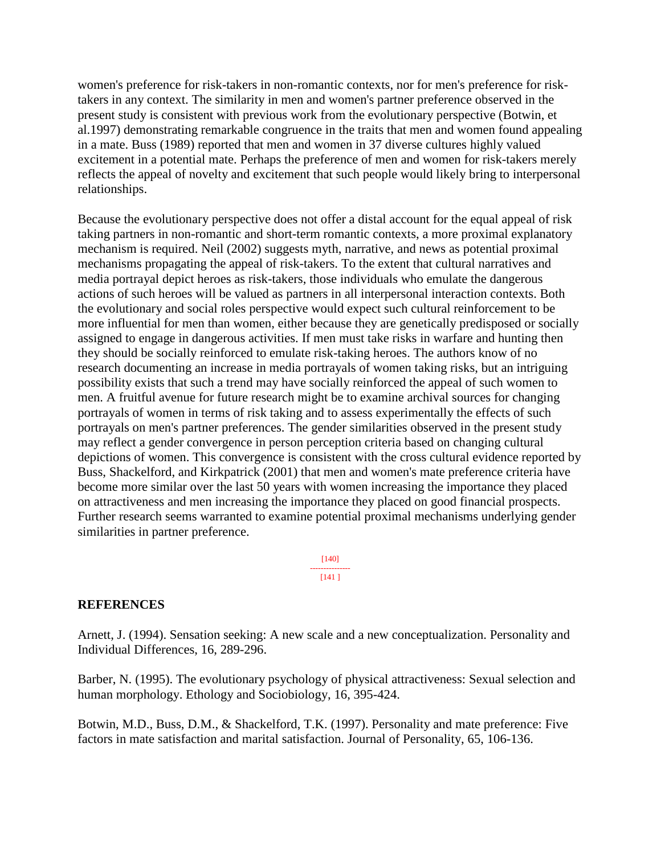women's preference for risk-takers in non-romantic contexts, nor for men's preference for risktakers in any context. The similarity in men and women's partner preference observed in the present study is consistent with previous work from the evolutionary perspective (Botwin, et al.1997) demonstrating remarkable congruence in the traits that men and women found appealing in a mate. Buss (1989) reported that men and women in 37 diverse cultures highly valued excitement in a potential mate. Perhaps the preference of men and women for risk-takers merely reflects the appeal of novelty and excitement that such people would likely bring to interpersonal relationships.

Because the evolutionary perspective does not offer a distal account for the equal appeal of risk taking partners in non-romantic and short-term romantic contexts, a more proximal explanatory mechanism is required. Neil (2002) suggests myth, narrative, and news as potential proximal mechanisms propagating the appeal of risk-takers. To the extent that cultural narratives and media portrayal depict heroes as risk-takers, those individuals who emulate the dangerous actions of such heroes will be valued as partners in all interpersonal interaction contexts. Both the evolutionary and social roles perspective would expect such cultural reinforcement to be more influential for men than women, either because they are genetically predisposed or socially assigned to engage in dangerous activities. If men must take risks in warfare and hunting then they should be socially reinforced to emulate risk-taking heroes. The authors know of no research documenting an increase in media portrayals of women taking risks, but an intriguing possibility exists that such a trend may have socially reinforced the appeal of such women to men. A fruitful avenue for future research might be to examine archival sources for changing portrayals of women in terms of risk taking and to assess experimentally the effects of such portrayals on men's partner preferences. The gender similarities observed in the present study may reflect a gender convergence in person perception criteria based on changing cultural depictions of women. This convergence is consistent with the cross cultural evidence reported by Buss, Shackelford, and Kirkpatrick (2001) that men and women's mate preference criteria have become more similar over the last 50 years with women increasing the importance they placed on attractiveness and men increasing the importance they placed on good financial prospects. Further research seems warranted to examine potential proximal mechanisms underlying gender similarities in partner preference.

> [140] --------------- [141 ]

#### **REFERENCES**

Arnett, J. (1994). Sensation seeking: A new scale and a new conceptualization. Personality and Individual Differences, 16, 289-296.

Barber, N. (1995). The evolutionary psychology of physical attractiveness: Sexual selection and human morphology. Ethology and Sociobiology, 16, 395-424.

Botwin, M.D., Buss, D.M., & Shackelford, T.K. (1997). Personality and mate preference: Five factors in mate satisfaction and marital satisfaction. Journal of Personality, 65, 106-136.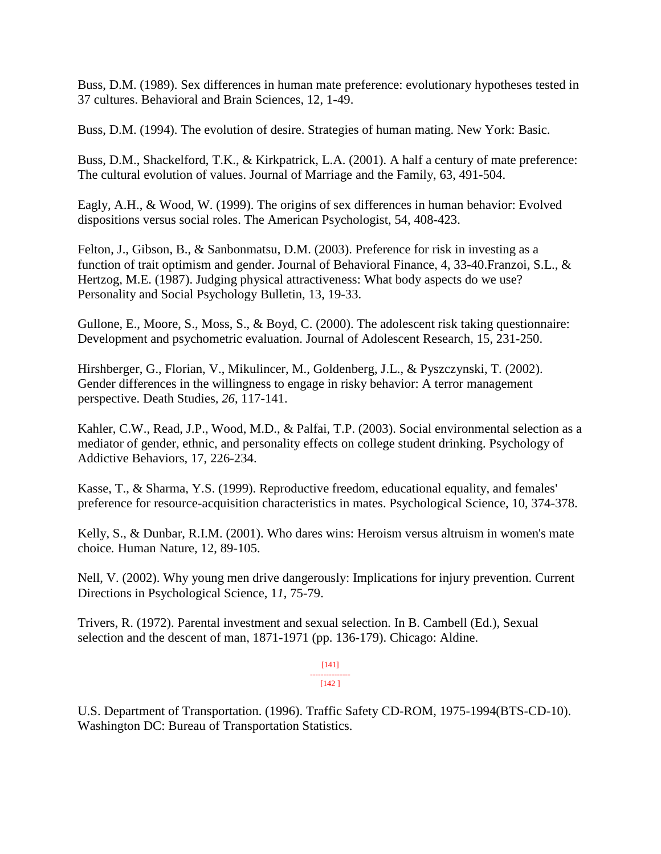Buss, D.M. (1989). Sex differences in human mate preference: evolutionary hypotheses tested in 37 cultures. Behavioral and Brain Sciences, 12, 1-49.

Buss, D.M. (1994). The evolution of desire. Strategies of human mating. New York: Basic.

Buss, D.M., Shackelford, T.K., & Kirkpatrick, L.A. (2001). A half a century of mate preference: The cultural evolution of values. Journal of Marriage and the Family, 63, 491-504.

Eagly, A.H., & Wood, W. (1999). The origins of sex differences in human behavior: Evolved dispositions versus social roles. The American Psychologist, 54, 408-423.

Felton, J., Gibson, B., & Sanbonmatsu, D.M. (2003). Preference for risk in investing as a function of trait optimism and gender. Journal of Behavioral Finance, 4, 33-40.Franzoi, S.L., & Hertzog, M.E. (1987). Judging physical attractiveness: What body aspects do we use? Personality and Social Psychology Bulletin, 13, 19-33.

Gullone, E., Moore, S., Moss, S., & Boyd, C. (2000). The adolescent risk taking questionnaire: Development and psychometric evaluation. Journal of Adolescent Research, 15, 231-250.

Hirshberger, G., Florian, V., Mikulincer, M., Goldenberg, J.L., & Pyszczynski, T. (2002). Gender differences in the willingness to engage in risky behavior: A terror management perspective. Death Studies*, 26*, 117-141.

Kahler, C.W., Read, J.P., Wood, M.D., & Palfai, T.P. (2003). Social environmental selection as a mediator of gender, ethnic, and personality effects on college student drinking. Psychology of Addictive Behaviors, 17, 226-234.

Kasse, T., & Sharma, Y.S. (1999). Reproductive freedom, educational equality, and females' preference for resource-acquisition characteristics in mates. Psychological Science, 10, 374-378.

Kelly, S., & Dunbar, R.I.M. (2001). Who dares wins: Heroism versus altruism in women's mate choice*.* Human Nature, 12, 89-105.

Nell, V. (2002). Why young men drive dangerously: Implications for injury prevention. Current Directions in Psychological Science, 1*1*, 75-79.

Trivers, R. (1972). Parental investment and sexual selection. In B. Cambell (Ed.), Sexual selection and the descent of man, 1871-1971 (pp. 136-179). Chicago: Aldine.

> [141] --------------- [142 ]

U.S. Department of Transportation. (1996). Traffic Safety CD-ROM, 1975-1994(BTS-CD-10). Washington DC: Bureau of Transportation Statistics.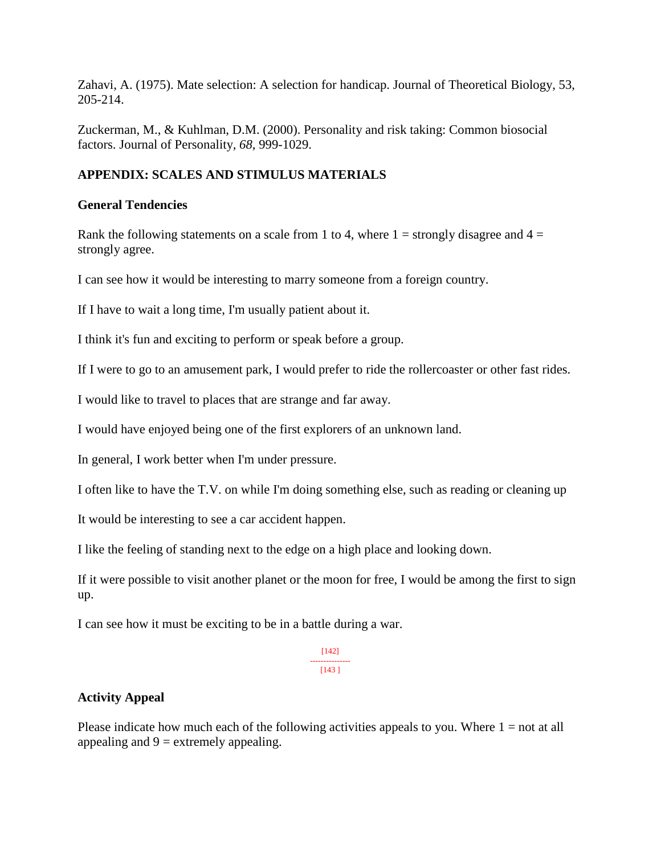Zahavi, A. (1975). Mate selection: A selection for handicap. Journal of Theoretical Biology, 53, 205-214.

Zuckerman, M., & Kuhlman, D.M. (2000). Personality and risk taking: Common biosocial factors. Journal of Personality*, 68*, 999-1029.

# **APPENDIX: SCALES AND STIMULUS MATERIALS**

#### **General Tendencies**

Rank the following statements on a scale from 1 to 4, where  $1 =$  strongly disagree and  $4 =$ strongly agree.

I can see how it would be interesting to marry someone from a foreign country.

If I have to wait a long time, I'm usually patient about it.

I think it's fun and exciting to perform or speak before a group.

If I were to go to an amusement park, I would prefer to ride the rollercoaster or other fast rides.

I would like to travel to places that are strange and far away.

I would have enjoyed being one of the first explorers of an unknown land.

In general, I work better when I'm under pressure.

I often like to have the T.V. on while I'm doing something else, such as reading or cleaning up

It would be interesting to see a car accident happen.

I like the feeling of standing next to the edge on a high place and looking down.

If it were possible to visit another planet or the moon for free, I would be among the first to sign up.

I can see how it must be exciting to be in a battle during a war.

[142] --------------- [143 ]

#### **Activity Appeal**

Please indicate how much each of the following activities appeals to you. Where  $1 = not$  at all appealing and  $9 =$  extremely appealing.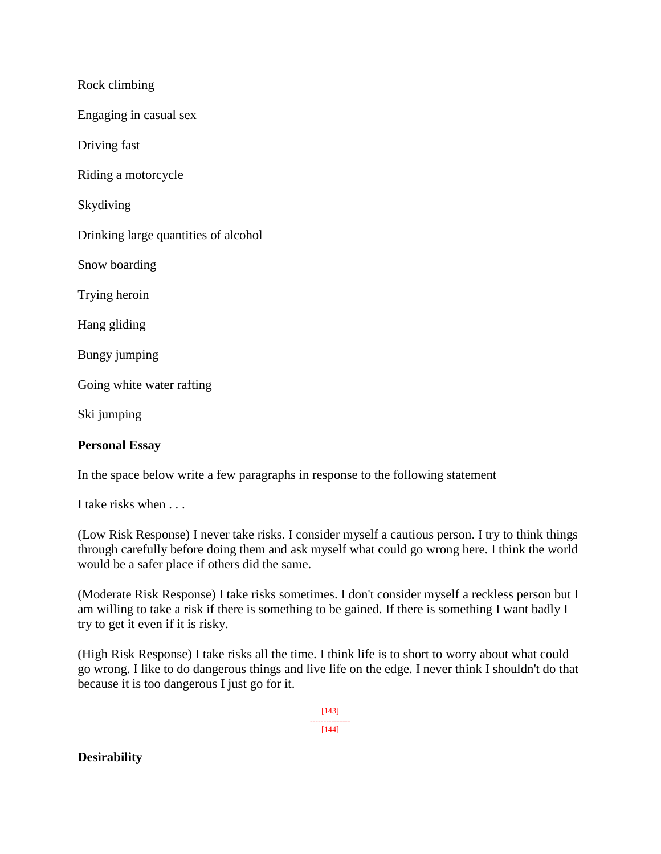Rock climbing

Engaging in casual sex

Driving fast

Riding a motorcycle

Skydiving

Drinking large quantities of alcohol

Snow boarding

Trying heroin

Hang gliding

Bungy jumping

Going white water rafting

Ski jumping

#### **Personal Essay**

In the space below write a few paragraphs in response to the following statement

I take risks when . . .

(Low Risk Response) I never take risks. I consider myself a cautious person. I try to think things through carefully before doing them and ask myself what could go wrong here. I think the world would be a safer place if others did the same.

(Moderate Risk Response) I take risks sometimes. I don't consider myself a reckless person but I am willing to take a risk if there is something to be gained. If there is something I want badly I try to get it even if it is risky.

(High Risk Response) I take risks all the time. I think life is to short to worry about what could go wrong. I like to do dangerous things and live life on the edge. I never think I shouldn't do that because it is too dangerous I just go for it.

> [143] --------------- [144]

#### **Desirability**